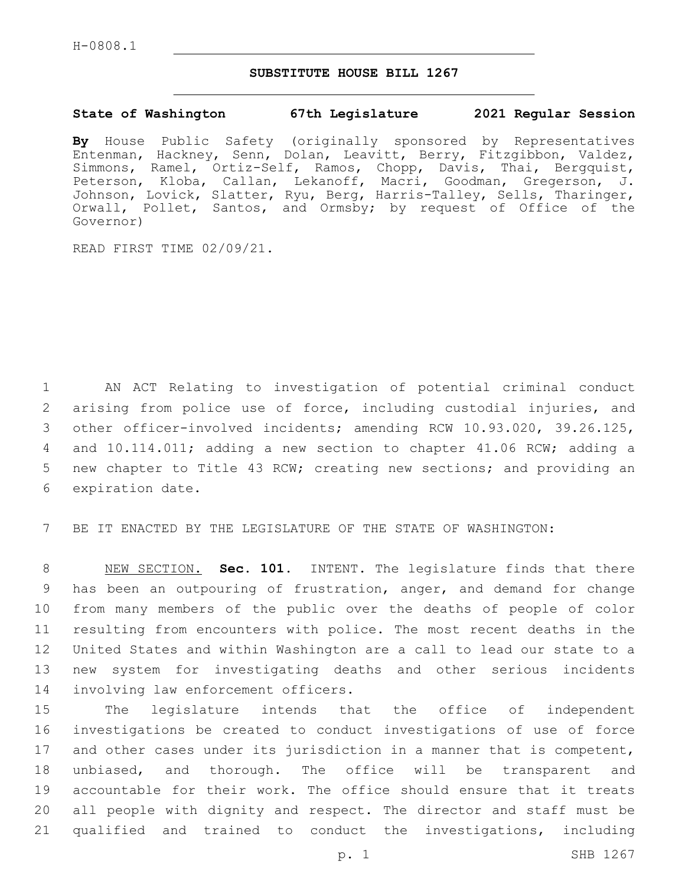#### **SUBSTITUTE HOUSE BILL 1267**

#### **State of Washington 67th Legislature 2021 Regular Session**

**By** House Public Safety (originally sponsored by Representatives Entenman, Hackney, Senn, Dolan, Leavitt, Berry, Fitzgibbon, Valdez, Simmons, Ramel, Ortiz-Self, Ramos, Chopp, Davis, Thai, Bergquist, Peterson, Kloba, Callan, Lekanoff, Macri, Goodman, Gregerson, J. Johnson, Lovick, Slatter, Ryu, Berg, Harris-Talley, Sells, Tharinger, Orwall, Pollet, Santos, and Ormsby; by request of Office of the Governor)

READ FIRST TIME 02/09/21.

 AN ACT Relating to investigation of potential criminal conduct arising from police use of force, including custodial injuries, and other officer-involved incidents; amending RCW 10.93.020, 39.26.125, and 10.114.011; adding a new section to chapter 41.06 RCW; adding a new chapter to Title 43 RCW; creating new sections; and providing an 6 expiration date.

BE IT ENACTED BY THE LEGISLATURE OF THE STATE OF WASHINGTON:

 NEW SECTION. **Sec. 101.** INTENT. The legislature finds that there has been an outpouring of frustration, anger, and demand for change from many members of the public over the deaths of people of color resulting from encounters with police. The most recent deaths in the United States and within Washington are a call to lead our state to a new system for investigating deaths and other serious incidents involving law enforcement officers.

 The legislature intends that the office of independent investigations be created to conduct investigations of use of force and other cases under its jurisdiction in a manner that is competent, unbiased, and thorough. The office will be transparent and accountable for their work. The office should ensure that it treats all people with dignity and respect. The director and staff must be qualified and trained to conduct the investigations, including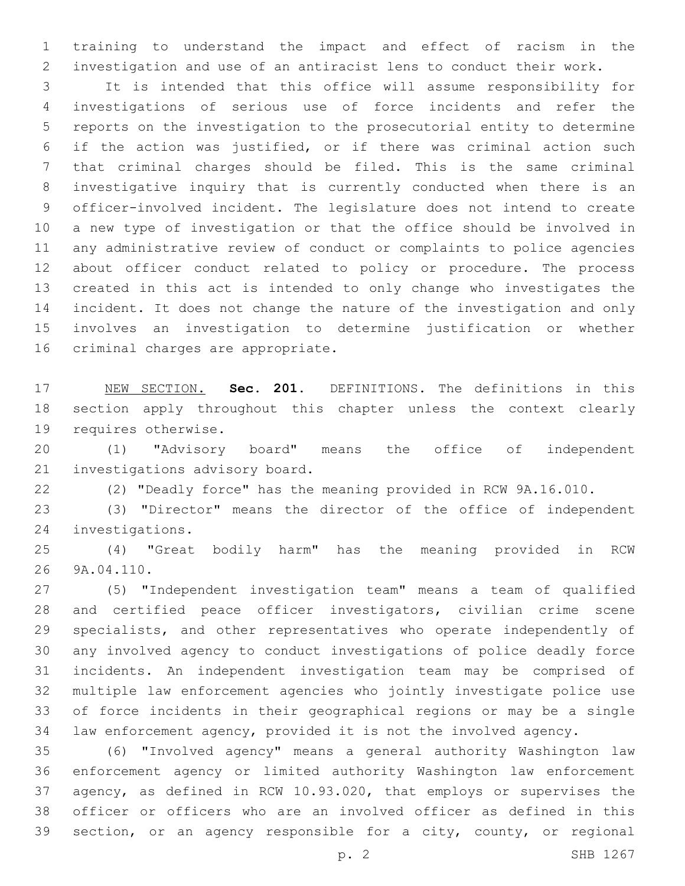training to understand the impact and effect of racism in the investigation and use of an antiracist lens to conduct their work.

 It is intended that this office will assume responsibility for investigations of serious use of force incidents and refer the reports on the investigation to the prosecutorial entity to determine if the action was justified, or if there was criminal action such that criminal charges should be filed. This is the same criminal investigative inquiry that is currently conducted when there is an officer-involved incident. The legislature does not intend to create a new type of investigation or that the office should be involved in any administrative review of conduct or complaints to police agencies about officer conduct related to policy or procedure. The process created in this act is intended to only change who investigates the incident. It does not change the nature of the investigation and only involves an investigation to determine justification or whether 16 criminal charges are appropriate.

 NEW SECTION. **Sec. 201.** DEFINITIONS. The definitions in this section apply throughout this chapter unless the context clearly requires otherwise.

 (1) "Advisory board" means the office of independent 21 investigations advisory board.

(2) "Deadly force" has the meaning provided in RCW 9A.16.010.

 (3) "Director" means the director of the office of independent 24 investigations.

 (4) "Great bodily harm" has the meaning provided in RCW 26 9A.04.110.

 (5) "Independent investigation team" means a team of qualified and certified peace officer investigators, civilian crime scene specialists, and other representatives who operate independently of any involved agency to conduct investigations of police deadly force incidents. An independent investigation team may be comprised of multiple law enforcement agencies who jointly investigate police use of force incidents in their geographical regions or may be a single law enforcement agency, provided it is not the involved agency.

 (6) "Involved agency" means a general authority Washington law enforcement agency or limited authority Washington law enforcement agency, as defined in RCW 10.93.020, that employs or supervises the officer or officers who are an involved officer as defined in this section, or an agency responsible for a city, county, or regional

p. 2 SHB 1267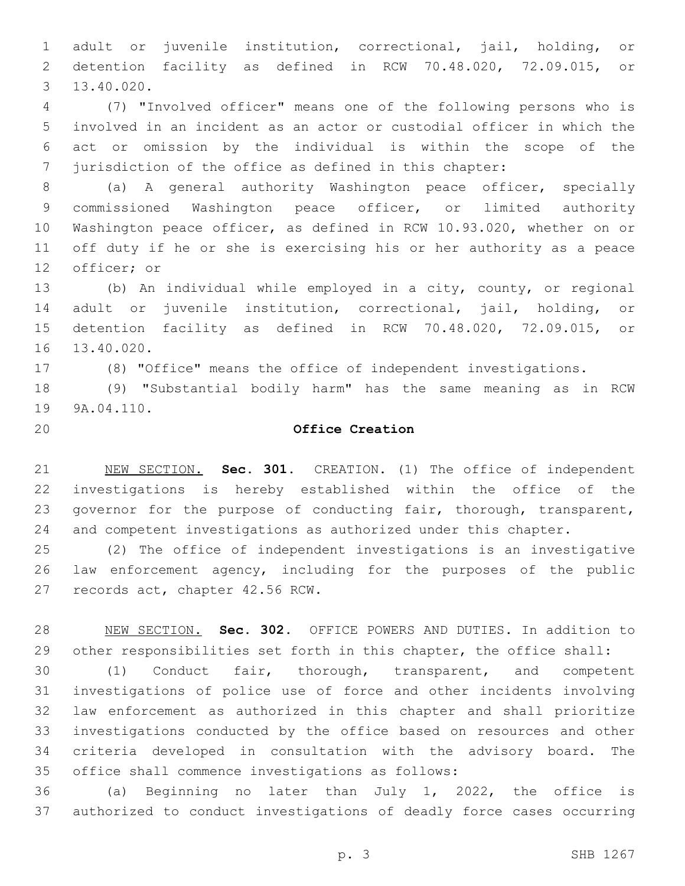adult or juvenile institution, correctional, jail, holding, or detention facility as defined in RCW 70.48.020, 72.09.015, or 13.40.020.3

 (7) "Involved officer" means one of the following persons who is involved in an incident as an actor or custodial officer in which the act or omission by the individual is within the scope of the jurisdiction of the office as defined in this chapter:

 (a) A general authority Washington peace officer, specially commissioned Washington peace officer, or limited authority Washington peace officer, as defined in RCW 10.93.020, whether on or off duty if he or she is exercising his or her authority as a peace 12 officer; or

 (b) An individual while employed in a city, county, or regional adult or juvenile institution, correctional, jail, holding, or detention facility as defined in RCW 70.48.020, 72.09.015, or 16 13.40.020.

(8) "Office" means the office of independent investigations.

 (9) "Substantial bodily harm" has the same meaning as in RCW 19 9A.04.110.

## **Office Creation**

 NEW SECTION. **Sec. 301.** CREATION. (1) The office of independent investigations is hereby established within the office of the governor for the purpose of conducting fair, thorough, transparent, and competent investigations as authorized under this chapter.

 (2) The office of independent investigations is an investigative law enforcement agency, including for the purposes of the public 27 records act, chapter 42.56 RCW.

 NEW SECTION. **Sec. 302.** OFFICE POWERS AND DUTIES. In addition to other responsibilities set forth in this chapter, the office shall:

 (1) Conduct fair, thorough, transparent, and competent investigations of police use of force and other incidents involving law enforcement as authorized in this chapter and shall prioritize investigations conducted by the office based on resources and other criteria developed in consultation with the advisory board. The 35 office shall commence investigations as follows:

 (a) Beginning no later than July 1, 2022, the office is authorized to conduct investigations of deadly force cases occurring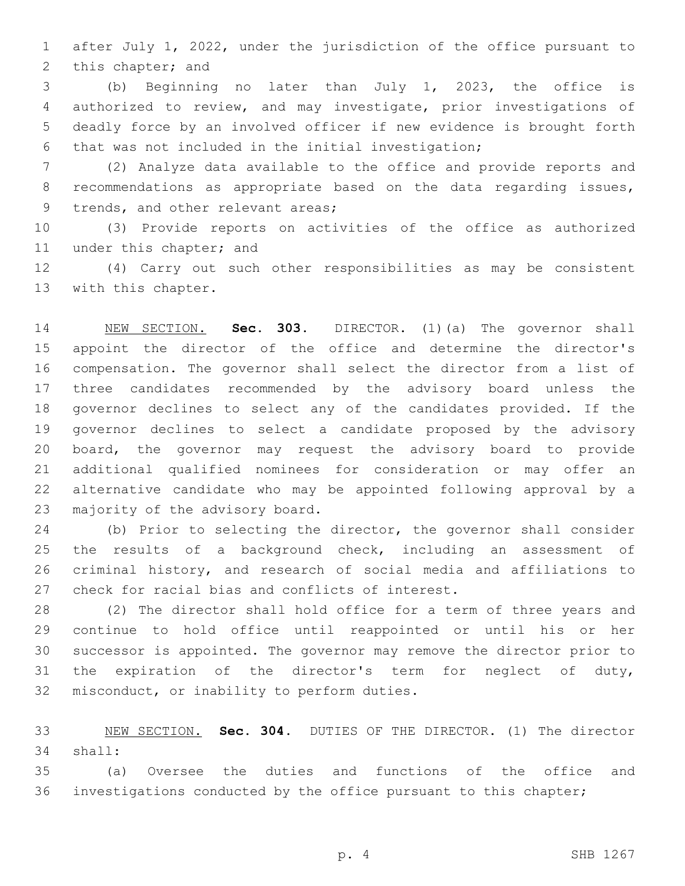after July 1, 2022, under the jurisdiction of the office pursuant to 2 this chapter; and

 (b) Beginning no later than July 1, 2023, the office is authorized to review, and may investigate, prior investigations of deadly force by an involved officer if new evidence is brought forth that was not included in the initial investigation;

 (2) Analyze data available to the office and provide reports and recommendations as appropriate based on the data regarding issues, 9 trends, and other relevant areas;

 (3) Provide reports on activities of the office as authorized 11 under this chapter; and

 (4) Carry out such other responsibilities as may be consistent 13 with this chapter.

 NEW SECTION. **Sec. 303.** DIRECTOR. (1)(a) The governor shall appoint the director of the office and determine the director's compensation. The governor shall select the director from a list of three candidates recommended by the advisory board unless the governor declines to select any of the candidates provided. If the governor declines to select a candidate proposed by the advisory board, the governor may request the advisory board to provide additional qualified nominees for consideration or may offer an alternative candidate who may be appointed following approval by a majority of the advisory board.

 (b) Prior to selecting the director, the governor shall consider the results of a background check, including an assessment of criminal history, and research of social media and affiliations to 27 check for racial bias and conflicts of interest.

 (2) The director shall hold office for a term of three years and continue to hold office until reappointed or until his or her successor is appointed. The governor may remove the director prior to the expiration of the director's term for neglect of duty, 32 misconduct, or inability to perform duties.

 NEW SECTION. **Sec. 304.** DUTIES OF THE DIRECTOR. (1) The director shall:

 (a) Oversee the duties and functions of the office and 36 investigations conducted by the office pursuant to this chapter;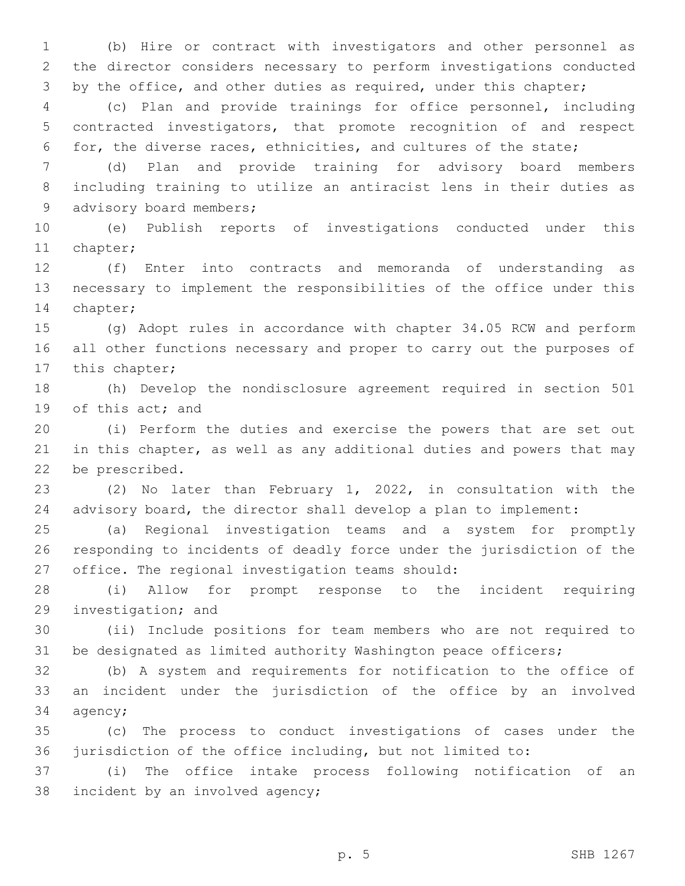(b) Hire or contract with investigators and other personnel as the director considers necessary to perform investigations conducted 3 by the office, and other duties as required, under this chapter;

 (c) Plan and provide trainings for office personnel, including contracted investigators, that promote recognition of and respect for, the diverse races, ethnicities, and cultures of the state;

 (d) Plan and provide training for advisory board members including training to utilize an antiracist lens in their duties as 9 advisory board members;

 (e) Publish reports of investigations conducted under this 11 chapter;

 (f) Enter into contracts and memoranda of understanding as necessary to implement the responsibilities of the office under this 14 chapter;

 (g) Adopt rules in accordance with chapter 34.05 RCW and perform all other functions necessary and proper to carry out the purposes of 17 this chapter;

 (h) Develop the nondisclosure agreement required in section 501 19 of this act; and

 (i) Perform the duties and exercise the powers that are set out in this chapter, as well as any additional duties and powers that may 22 be prescribed.

 (2) No later than February 1, 2022, in consultation with the advisory board, the director shall develop a plan to implement:

 (a) Regional investigation teams and a system for promptly responding to incidents of deadly force under the jurisdiction of the 27 office. The regional investigation teams should:

 (i) Allow for prompt response to the incident requiring 29 investigation; and

 (ii) Include positions for team members who are not required to be designated as limited authority Washington peace officers;

 (b) A system and requirements for notification to the office of an incident under the jurisdiction of the office by an involved 34 agency;

 (c) The process to conduct investigations of cases under the jurisdiction of the office including, but not limited to:

 (i) The office intake process following notification of an 38 incident by an involved agency;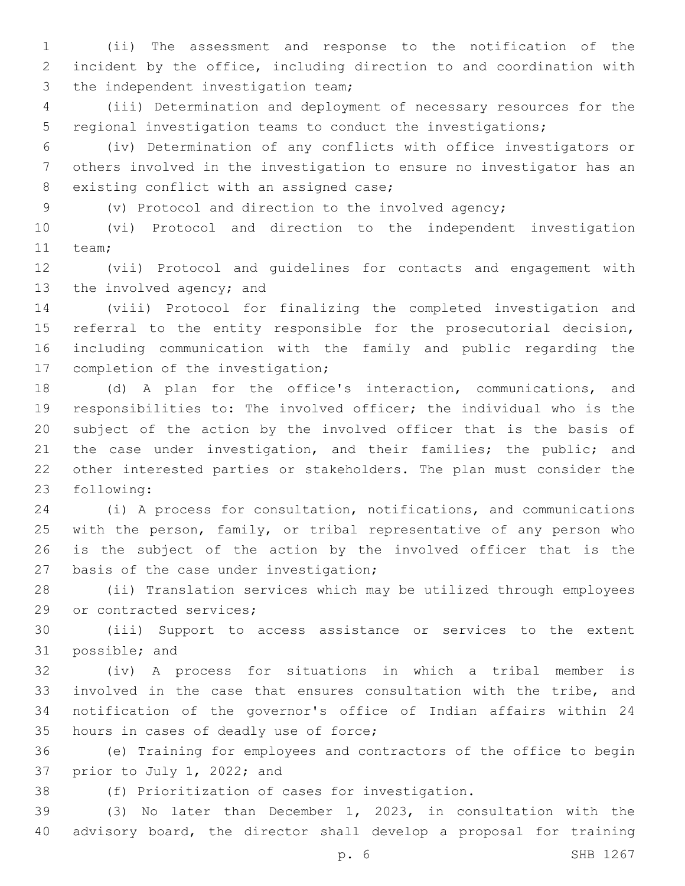(ii) The assessment and response to the notification of the incident by the office, including direction to and coordination with 3 the independent investigation team;

 (iii) Determination and deployment of necessary resources for the regional investigation teams to conduct the investigations;

 (iv) Determination of any conflicts with office investigators or others involved in the investigation to ensure no investigator has an 8 existing conflict with an assigned case;

(v) Protocol and direction to the involved agency;

 (vi) Protocol and direction to the independent investigation 11 team;

 (vii) Protocol and guidelines for contacts and engagement with 13 the involved agency; and

 (viii) Protocol for finalizing the completed investigation and referral to the entity responsible for the prosecutorial decision, including communication with the family and public regarding the 17 completion of the investigation;

 (d) A plan for the office's interaction, communications, and responsibilities to: The involved officer; the individual who is the subject of the action by the involved officer that is the basis of 21 the case under investigation, and their families; the public; and other interested parties or stakeholders. The plan must consider the 23 following:

 (i) A process for consultation, notifications, and communications with the person, family, or tribal representative of any person who is the subject of the action by the involved officer that is the 27 basis of the case under investigation;

 (ii) Translation services which may be utilized through employees 29 or contracted services;

 (iii) Support to access assistance or services to the extent 31 possible; and

 (iv) A process for situations in which a tribal member is involved in the case that ensures consultation with the tribe, and notification of the governor's office of Indian affairs within 24 35 hours in cases of deadly use of force;

 (e) Training for employees and contractors of the office to begin 37 prior to July 1, 2022; and

(f) Prioritization of cases for investigation.

 (3) No later than December 1, 2023, in consultation with the advisory board, the director shall develop a proposal for training

p. 6 SHB 1267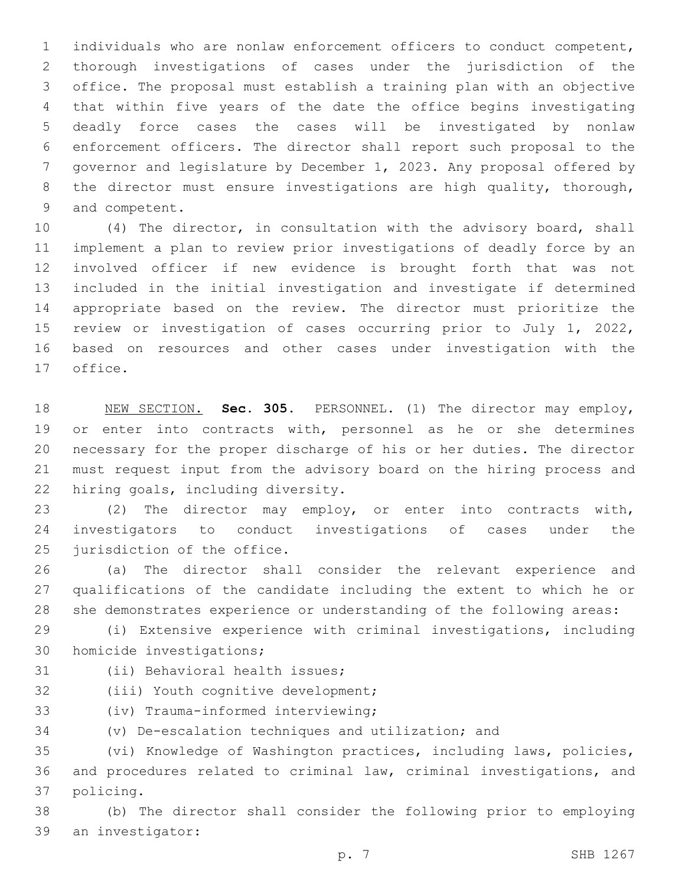individuals who are nonlaw enforcement officers to conduct competent, thorough investigations of cases under the jurisdiction of the office. The proposal must establish a training plan with an objective that within five years of the date the office begins investigating deadly force cases the cases will be investigated by nonlaw enforcement officers. The director shall report such proposal to the governor and legislature by December 1, 2023. Any proposal offered by 8 the director must ensure investigations are high quality, thorough, 9 and competent.

 (4) The director, in consultation with the advisory board, shall implement a plan to review prior investigations of deadly force by an involved officer if new evidence is brought forth that was not included in the initial investigation and investigate if determined appropriate based on the review. The director must prioritize the review or investigation of cases occurring prior to July 1, 2022, based on resources and other cases under investigation with the 17 office.

 NEW SECTION. **Sec. 305.** PERSONNEL. (1) The director may employ, 19 or enter into contracts with, personnel as he or she determines necessary for the proper discharge of his or her duties. The director must request input from the advisory board on the hiring process and hiring goals, including diversity.

 (2) The director may employ, or enter into contracts with, investigators to conduct investigations of cases under the 25 jurisdiction of the office.

 (a) The director shall consider the relevant experience and qualifications of the candidate including the extent to which he or she demonstrates experience or understanding of the following areas:

 (i) Extensive experience with criminal investigations, including 30 homicide investigations;

31 (ii) Behavioral health issues;

32 (iii) Youth cognitive development;

33 (iv) Trauma-informed interviewing;

(v) De-escalation techniques and utilization; and

 (vi) Knowledge of Washington practices, including laws, policies, and procedures related to criminal law, criminal investigations, and 37 policing.

 (b) The director shall consider the following prior to employing 39 an investigator: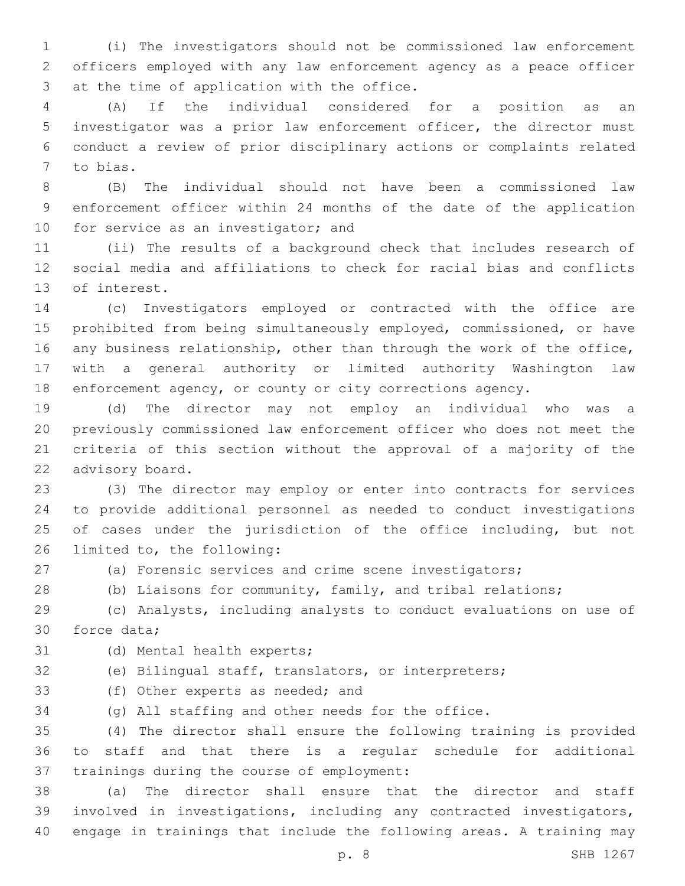(i) The investigators should not be commissioned law enforcement officers employed with any law enforcement agency as a peace officer 3 at the time of application with the office.

 (A) If the individual considered for a position as an investigator was a prior law enforcement officer, the director must conduct a review of prior disciplinary actions or complaints related 7 to bias.

 (B) The individual should not have been a commissioned law enforcement officer within 24 months of the date of the application 10 for service as an investigator; and

 (ii) The results of a background check that includes research of social media and affiliations to check for racial bias and conflicts 13 of interest.

 (c) Investigators employed or contracted with the office are prohibited from being simultaneously employed, commissioned, or have any business relationship, other than through the work of the office, with a general authority or limited authority Washington law enforcement agency, or county or city corrections agency.

 (d) The director may not employ an individual who was a previously commissioned law enforcement officer who does not meet the criteria of this section without the approval of a majority of the 22 advisory board.

 (3) The director may employ or enter into contracts for services to provide additional personnel as needed to conduct investigations 25 of cases under the jurisdiction of the office including, but not 26 limited to, the following:

(a) Forensic services and crime scene investigators;

(b) Liaisons for community, family, and tribal relations;

 (c) Analysts, including analysts to conduct evaluations on use of 30 force data:

31 (d) Mental health experts;

(e) Bilingual staff, translators, or interpreters;

33 (f) Other experts as needed; and

(g) All staffing and other needs for the office.

 (4) The director shall ensure the following training is provided to staff and that there is a regular schedule for additional 37 trainings during the course of employment:

 (a) The director shall ensure that the director and staff involved in investigations, including any contracted investigators, engage in trainings that include the following areas. A training may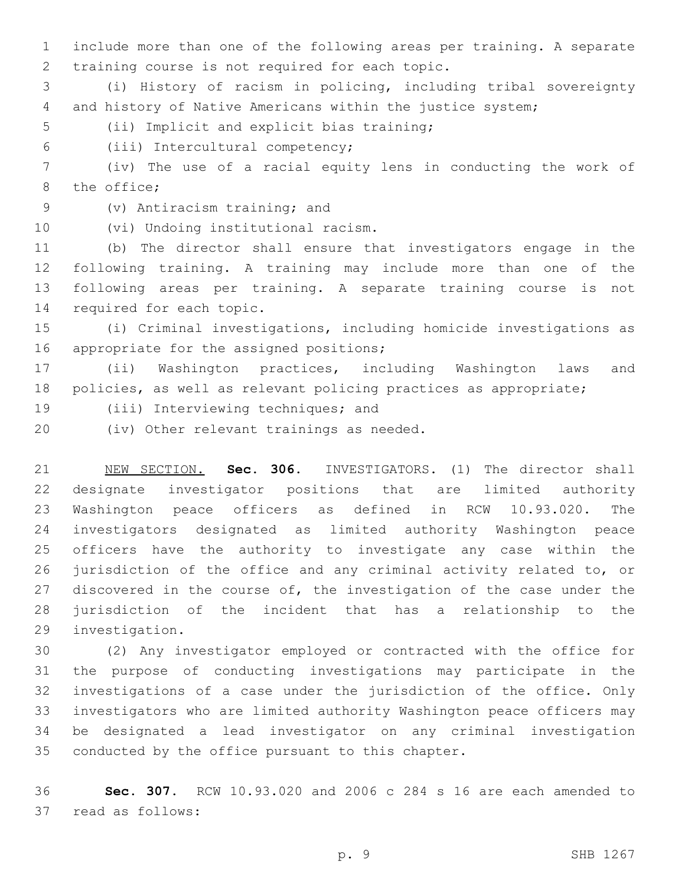include more than one of the following areas per training. A separate 2 training course is not required for each topic.

 (i) History of racism in policing, including tribal sovereignty and history of Native Americans within the justice system;

5 (ii) Implicit and explicit bias training;

(iii) Intercultural competency;6

 (iv) The use of a racial equity lens in conducting the work of 8 the office;

9 (v) Antiracism training; and

10 (vi) Undoing institutional racism.

 (b) The director shall ensure that investigators engage in the following training. A training may include more than one of the following areas per training. A separate training course is not 14 required for each topic.

 (i) Criminal investigations, including homicide investigations as 16 appropriate for the assigned positions;

 (ii) Washington practices, including Washington laws and policies, as well as relevant policing practices as appropriate;

19 (iii) Interviewing techniques; and

(iv) Other relevant trainings as needed.20

 NEW SECTION. **Sec. 306.** INVESTIGATORS. (1) The director shall designate investigator positions that are limited authority Washington peace officers as defined in RCW 10.93.020. The investigators designated as limited authority Washington peace officers have the authority to investigate any case within the jurisdiction of the office and any criminal activity related to, or 27 discovered in the course of, the investigation of the case under the jurisdiction of the incident that has a relationship to the investigation.

 (2) Any investigator employed or contracted with the office for the purpose of conducting investigations may participate in the investigations of a case under the jurisdiction of the office. Only investigators who are limited authority Washington peace officers may be designated a lead investigator on any criminal investigation 35 conducted by the office pursuant to this chapter.

 **Sec. 307.** RCW 10.93.020 and 2006 c 284 s 16 are each amended to 37 read as follows: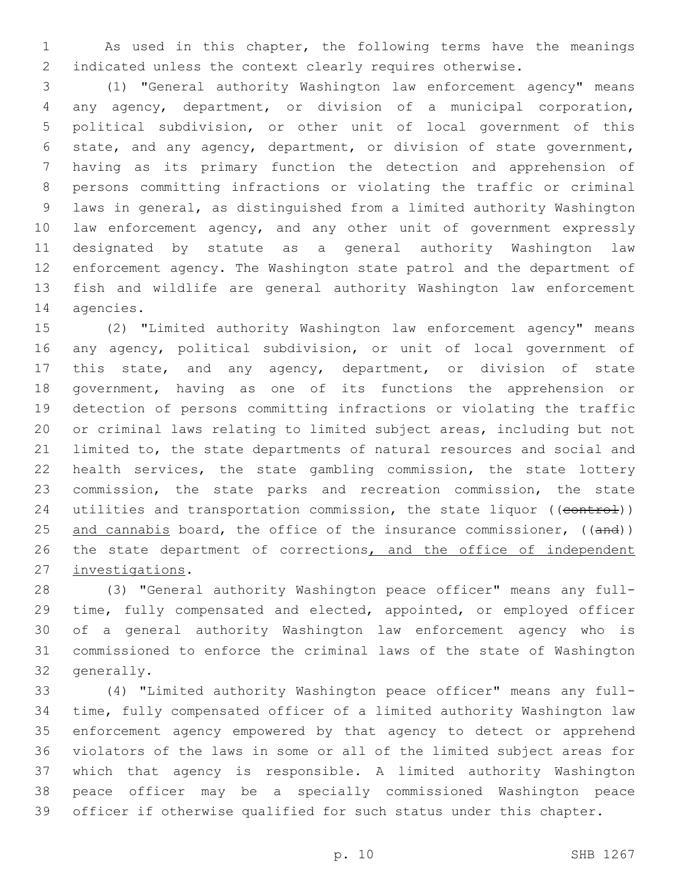As used in this chapter, the following terms have the meanings indicated unless the context clearly requires otherwise.

 (1) "General authority Washington law enforcement agency" means any agency, department, or division of a municipal corporation, political subdivision, or other unit of local government of this state, and any agency, department, or division of state government, having as its primary function the detection and apprehension of persons committing infractions or violating the traffic or criminal laws in general, as distinguished from a limited authority Washington law enforcement agency, and any other unit of government expressly designated by statute as a general authority Washington law enforcement agency. The Washington state patrol and the department of fish and wildlife are general authority Washington law enforcement 14 agencies.

 (2) "Limited authority Washington law enforcement agency" means any agency, political subdivision, or unit of local government of this state, and any agency, department, or division of state government, having as one of its functions the apprehension or detection of persons committing infractions or violating the traffic or criminal laws relating to limited subject areas, including but not limited to, the state departments of natural resources and social and health services, the state gambling commission, the state lottery commission, the state parks and recreation commission, the state 24 utilities and transportation commission, the state liquor ((control)) 25 and cannabis board, the office of the insurance commissioner, ((and)) 26 the state department of corrections, and the office of independent 27 investigations.

 (3) "General authority Washington peace officer" means any full- time, fully compensated and elected, appointed, or employed officer of a general authority Washington law enforcement agency who is commissioned to enforce the criminal laws of the state of Washington 32 generally.

 (4) "Limited authority Washington peace officer" means any full- time, fully compensated officer of a limited authority Washington law enforcement agency empowered by that agency to detect or apprehend violators of the laws in some or all of the limited subject areas for which that agency is responsible. A limited authority Washington peace officer may be a specially commissioned Washington peace officer if otherwise qualified for such status under this chapter.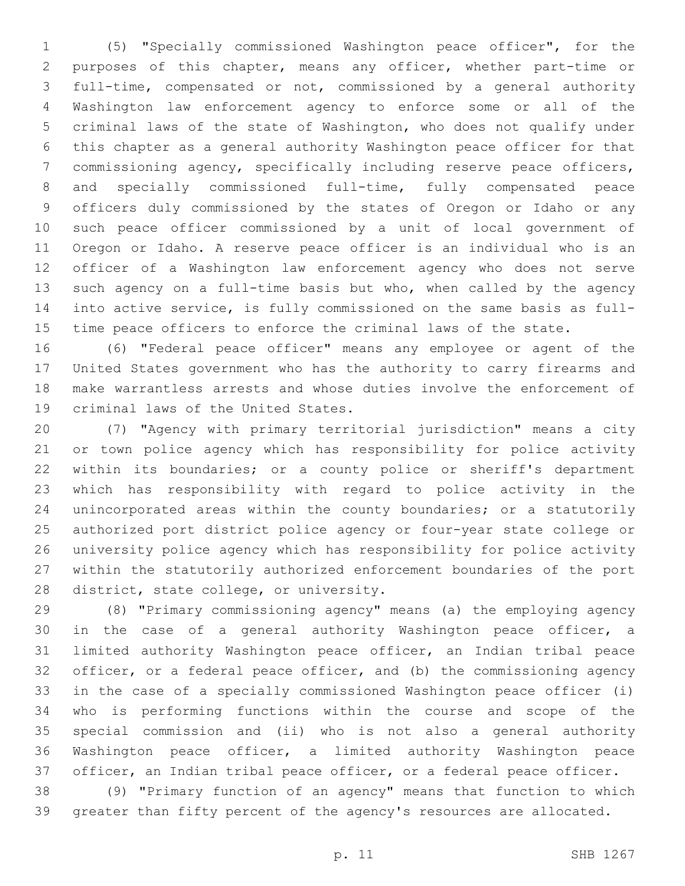(5) "Specially commissioned Washington peace officer", for the purposes of this chapter, means any officer, whether part-time or full-time, compensated or not, commissioned by a general authority Washington law enforcement agency to enforce some or all of the criminal laws of the state of Washington, who does not qualify under this chapter as a general authority Washington peace officer for that commissioning agency, specifically including reserve peace officers, and specially commissioned full-time, fully compensated peace officers duly commissioned by the states of Oregon or Idaho or any such peace officer commissioned by a unit of local government of Oregon or Idaho. A reserve peace officer is an individual who is an officer of a Washington law enforcement agency who does not serve such agency on a full-time basis but who, when called by the agency into active service, is fully commissioned on the same basis as full-time peace officers to enforce the criminal laws of the state.

 (6) "Federal peace officer" means any employee or agent of the United States government who has the authority to carry firearms and make warrantless arrests and whose duties involve the enforcement of 19 criminal laws of the United States.

 (7) "Agency with primary territorial jurisdiction" means a city or town police agency which has responsibility for police activity within its boundaries; or a county police or sheriff's department which has responsibility with regard to police activity in the unincorporated areas within the county boundaries; or a statutorily authorized port district police agency or four-year state college or university police agency which has responsibility for police activity within the statutorily authorized enforcement boundaries of the port 28 district, state college, or university.

 (8) "Primary commissioning agency" means (a) the employing agency in the case of a general authority Washington peace officer, a limited authority Washington peace officer, an Indian tribal peace officer, or a federal peace officer, and (b) the commissioning agency in the case of a specially commissioned Washington peace officer (i) who is performing functions within the course and scope of the special commission and (ii) who is not also a general authority Washington peace officer, a limited authority Washington peace officer, an Indian tribal peace officer, or a federal peace officer.

 (9) "Primary function of an agency" means that function to which greater than fifty percent of the agency's resources are allocated.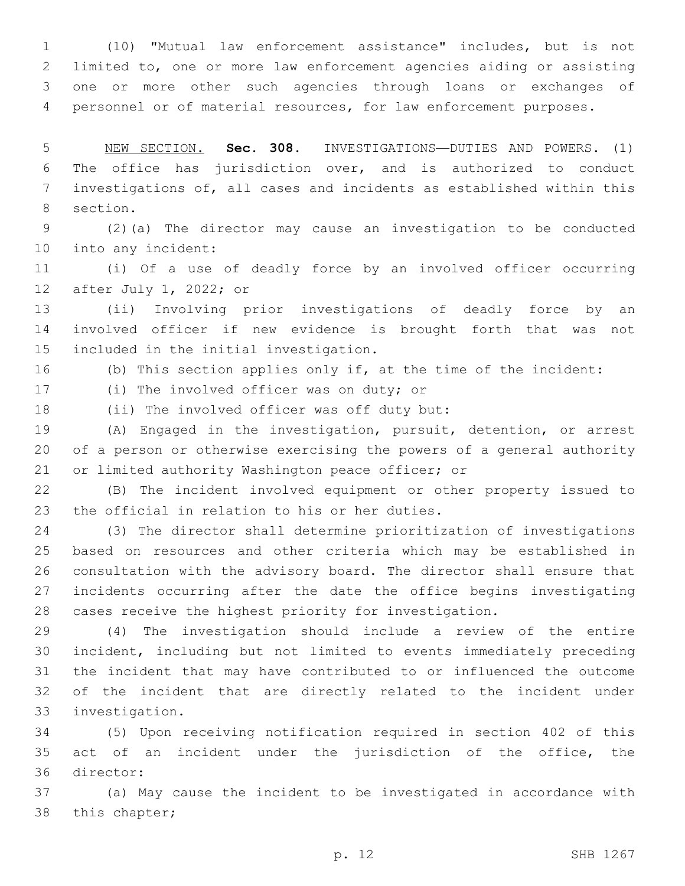(10) "Mutual law enforcement assistance" includes, but is not limited to, one or more law enforcement agencies aiding or assisting one or more other such agencies through loans or exchanges of personnel or of material resources, for law enforcement purposes.

 NEW SECTION. **Sec. 308.** INVESTIGATIONS—DUTIES AND POWERS. (1) The office has jurisdiction over, and is authorized to conduct investigations of, all cases and incidents as established within this section.

 (2)(a) The director may cause an investigation to be conducted 10 into any incident:

 (i) Of a use of deadly force by an involved officer occurring 12 after July 1, 2022; or

 (ii) Involving prior investigations of deadly force by an involved officer if new evidence is brought forth that was not 15 included in the initial investigation.

(b) This section applies only if, at the time of the incident:

17 (i) The involved officer was on duty; or

18 (ii) The involved officer was off duty but:

 (A) Engaged in the investigation, pursuit, detention, or arrest of a person or otherwise exercising the powers of a general authority 21 or limited authority Washington peace officer; or

 (B) The incident involved equipment or other property issued to 23 the official in relation to his or her duties.

 (3) The director shall determine prioritization of investigations based on resources and other criteria which may be established in consultation with the advisory board. The director shall ensure that incidents occurring after the date the office begins investigating cases receive the highest priority for investigation.

 (4) The investigation should include a review of the entire incident, including but not limited to events immediately preceding the incident that may have contributed to or influenced the outcome of the incident that are directly related to the incident under 33 investigation.

 (5) Upon receiving notification required in section 402 of this act of an incident under the jurisdiction of the office, the 36 director:

 (a) May cause the incident to be investigated in accordance with 38 this chapter;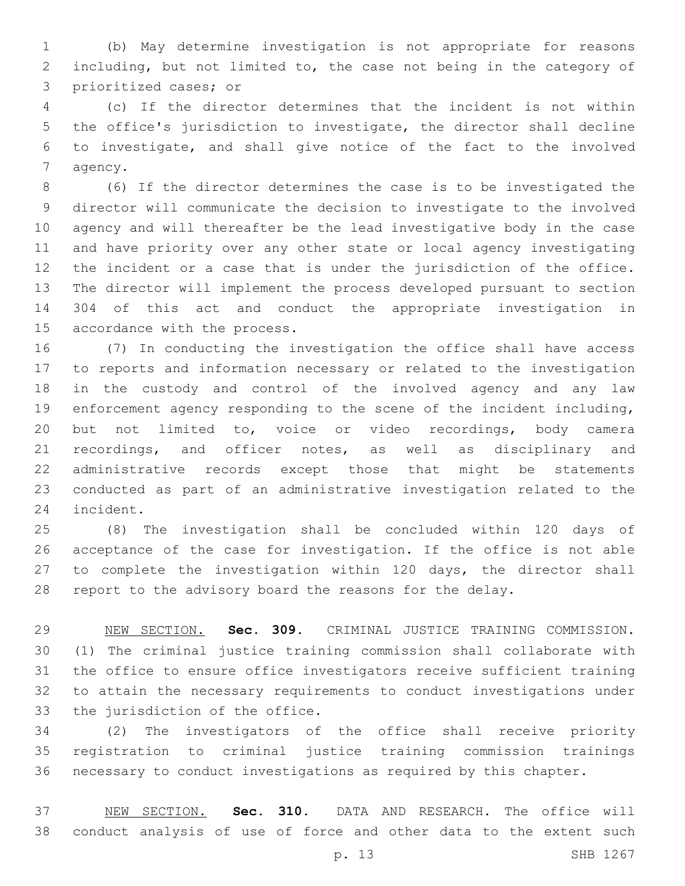(b) May determine investigation is not appropriate for reasons including, but not limited to, the case not being in the category of 3 prioritized cases; or

 (c) If the director determines that the incident is not within the office's jurisdiction to investigate, the director shall decline to investigate, and shall give notice of the fact to the involved 7 agency.

 (6) If the director determines the case is to be investigated the director will communicate the decision to investigate to the involved agency and will thereafter be the lead investigative body in the case and have priority over any other state or local agency investigating the incident or a case that is under the jurisdiction of the office. The director will implement the process developed pursuant to section 304 of this act and conduct the appropriate investigation in 15 accordance with the process.

 (7) In conducting the investigation the office shall have access to reports and information necessary or related to the investigation in the custody and control of the involved agency and any law enforcement agency responding to the scene of the incident including, but not limited to, voice or video recordings, body camera recordings, and officer notes, as well as disciplinary and administrative records except those that might be statements conducted as part of an administrative investigation related to the 24 incident.

 (8) The investigation shall be concluded within 120 days of acceptance of the case for investigation. If the office is not able 27 to complete the investigation within 120 days, the director shall report to the advisory board the reasons for the delay.

 NEW SECTION. **Sec. 309.** CRIMINAL JUSTICE TRAINING COMMISSION. (1) The criminal justice training commission shall collaborate with the office to ensure office investigators receive sufficient training to attain the necessary requirements to conduct investigations under the jurisdiction of the office.

 (2) The investigators of the office shall receive priority registration to criminal justice training commission trainings necessary to conduct investigations as required by this chapter.

 NEW SECTION. **Sec. 310.** DATA AND RESEARCH. The office will conduct analysis of use of force and other data to the extent such

p. 13 SHB 1267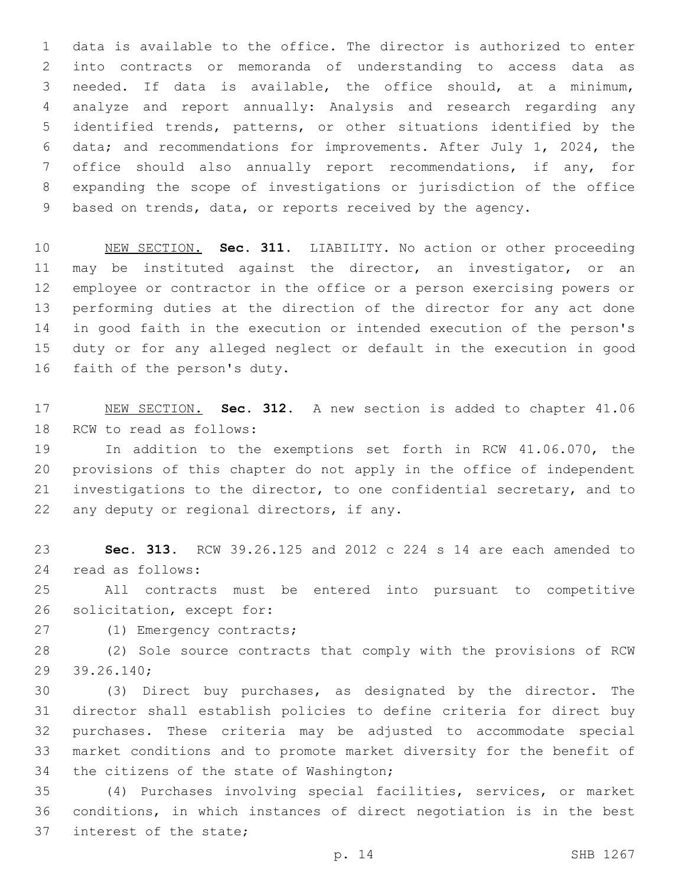data is available to the office. The director is authorized to enter into contracts or memoranda of understanding to access data as needed. If data is available, the office should, at a minimum, analyze and report annually: Analysis and research regarding any identified trends, patterns, or other situations identified by the data; and recommendations for improvements. After July 1, 2024, the office should also annually report recommendations, if any, for expanding the scope of investigations or jurisdiction of the office based on trends, data, or reports received by the agency.

 NEW SECTION. **Sec. 311.** LIABILITY. No action or other proceeding may be instituted against the director, an investigator, or an employee or contractor in the office or a person exercising powers or performing duties at the direction of the director for any act done in good faith in the execution or intended execution of the person's duty or for any alleged neglect or default in the execution in good faith of the person's duty.

 NEW SECTION. **Sec. 312.** A new section is added to chapter 41.06 18 RCW to read as follows:

 In addition to the exemptions set forth in RCW 41.06.070, the provisions of this chapter do not apply in the office of independent investigations to the director, to one confidential secretary, and to 22 any deputy or regional directors, if any.

 **Sec. 313.** RCW 39.26.125 and 2012 c 224 s 14 are each amended to read as follows:24

 All contracts must be entered into pursuant to competitive 26 solicitation, except for:

27 (1) Emergency contracts;

 (2) Sole source contracts that comply with the provisions of RCW 39.26.140;29

 (3) Direct buy purchases, as designated by the director. The director shall establish policies to define criteria for direct buy purchases. These criteria may be adjusted to accommodate special market conditions and to promote market diversity for the benefit of 34 the citizens of the state of Washington;

 (4) Purchases involving special facilities, services, or market conditions, in which instances of direct negotiation is in the best 37 interest of the state;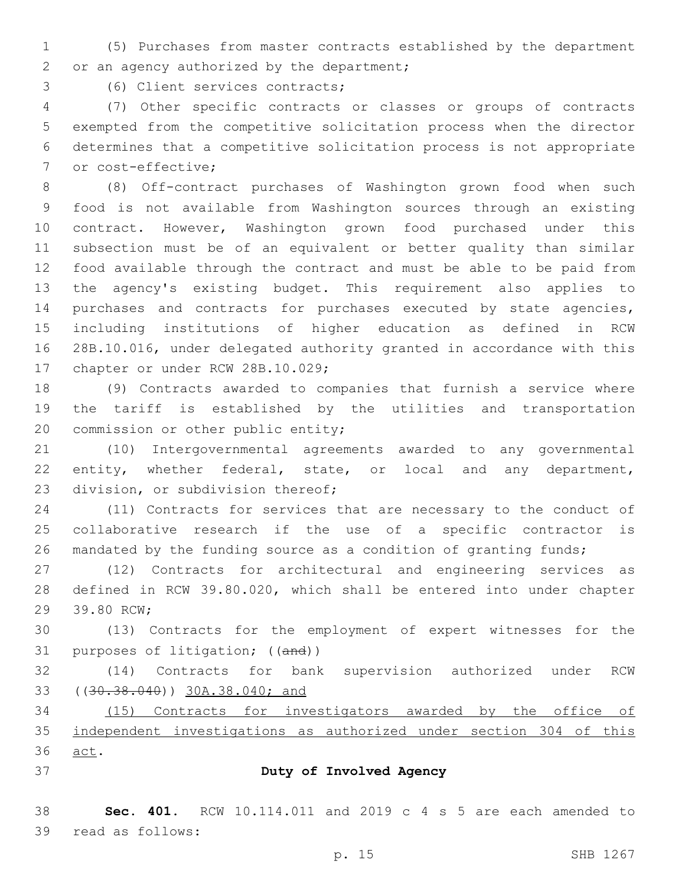(5) Purchases from master contracts established by the department 2 or an agency authorized by the department;

3 (6) Client services contracts;

 (7) Other specific contracts or classes or groups of contracts exempted from the competitive solicitation process when the director determines that a competitive solicitation process is not appropriate 7 or cost-effective;

 (8) Off-contract purchases of Washington grown food when such food is not available from Washington sources through an existing contract. However, Washington grown food purchased under this subsection must be of an equivalent or better quality than similar food available through the contract and must be able to be paid from the agency's existing budget. This requirement also applies to purchases and contracts for purchases executed by state agencies, including institutions of higher education as defined in RCW 28B.10.016, under delegated authority granted in accordance with this 17 chapter or under RCW 28B.10.029;

 (9) Contracts awarded to companies that furnish a service where the tariff is established by the utilities and transportation 20 commission or other public entity;

 (10) Intergovernmental agreements awarded to any governmental entity, whether federal, state, or local and any department, 23 division, or subdivision thereof;

 (11) Contracts for services that are necessary to the conduct of collaborative research if the use of a specific contractor is mandated by the funding source as a condition of granting funds;

 (12) Contracts for architectural and engineering services as defined in RCW 39.80.020, which shall be entered into under chapter 29 39.80 RCW;

 (13) Contracts for the employment of expert witnesses for the 31 purposes of litigation; ((and))

 (14) Contracts for bank supervision authorized under RCW ((30.38.040)) 30A.38.040; and

 (15) Contracts for investigators awarded by the office of independent investigations as authorized under section 304 of this 36 act.

#### **Duty of Involved Agency**

 **Sec. 401.** RCW 10.114.011 and 2019 c 4 s 5 are each amended to 39 read as follows: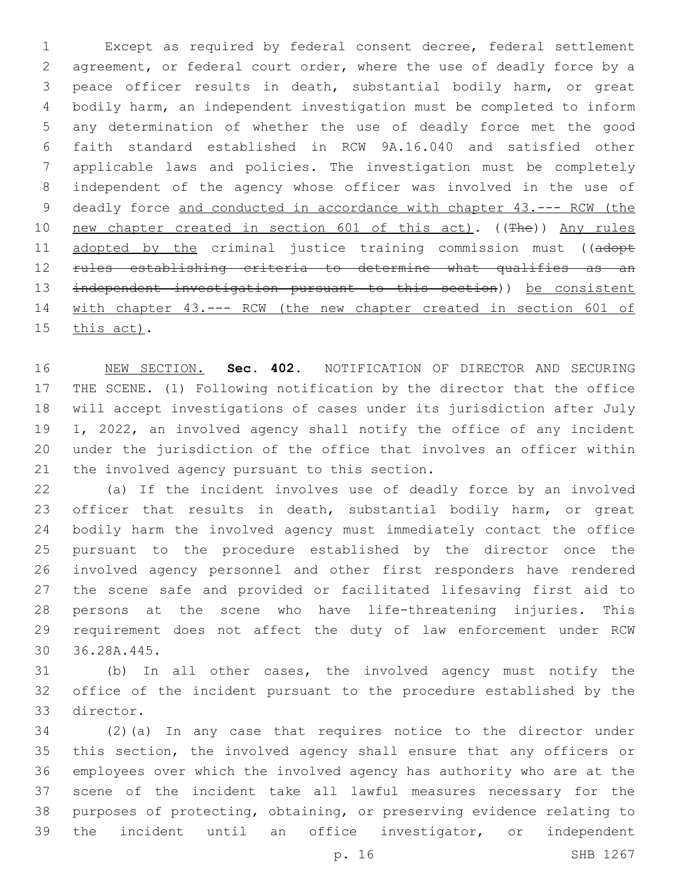Except as required by federal consent decree, federal settlement agreement, or federal court order, where the use of deadly force by a peace officer results in death, substantial bodily harm, or great bodily harm, an independent investigation must be completed to inform any determination of whether the use of deadly force met the good faith standard established in RCW 9A.16.040 and satisfied other applicable laws and policies. The investigation must be completely independent of the agency whose officer was involved in the use of 9 deadly force and conducted in accordance with chapter 43.--- RCW (the 10 new chapter created in section 601 of this act). ((The)) Any rules 11 adopted by the criminal justice training commission must ((adopt rules establishing criteria to determine what qualifies as an independent investigation pursuant to this section)) be consistent with chapter 43.--- RCW (the new chapter created in section 601 of 15 this act).

 NEW SECTION. **Sec. 402.** NOTIFICATION OF DIRECTOR AND SECURING THE SCENE. (1) Following notification by the director that the office will accept investigations of cases under its jurisdiction after July 1, 2022, an involved agency shall notify the office of any incident under the jurisdiction of the office that involves an officer within the involved agency pursuant to this section.

 (a) If the incident involves use of deadly force by an involved 23 officer that results in death, substantial bodily harm, or great bodily harm the involved agency must immediately contact the office pursuant to the procedure established by the director once the involved agency personnel and other first responders have rendered the scene safe and provided or facilitated lifesaving first aid to persons at the scene who have life-threatening injuries. This requirement does not affect the duty of law enforcement under RCW 36.28A.445.30

 (b) In all other cases, the involved agency must notify the office of the incident pursuant to the procedure established by the 33 director.

 (2)(a) In any case that requires notice to the director under this section, the involved agency shall ensure that any officers or employees over which the involved agency has authority who are at the scene of the incident take all lawful measures necessary for the purposes of protecting, obtaining, or preserving evidence relating to the incident until an office investigator, or independent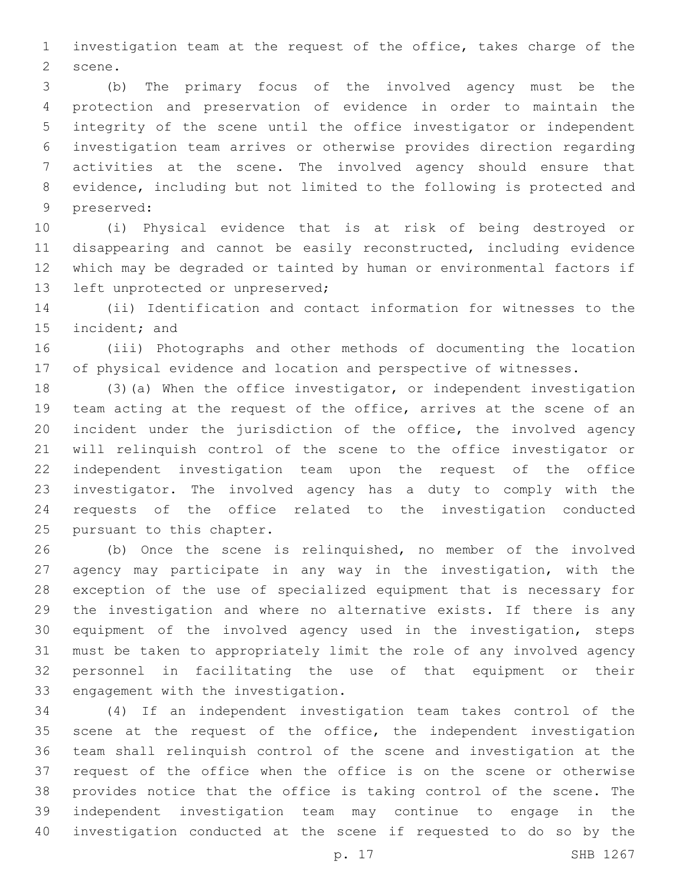investigation team at the request of the office, takes charge of the 2 scene.

 (b) The primary focus of the involved agency must be the protection and preservation of evidence in order to maintain the integrity of the scene until the office investigator or independent investigation team arrives or otherwise provides direction regarding activities at the scene. The involved agency should ensure that evidence, including but not limited to the following is protected and 9 preserved:

 (i) Physical evidence that is at risk of being destroyed or disappearing and cannot be easily reconstructed, including evidence which may be degraded or tainted by human or environmental factors if 13 left unprotected or unpreserved;

 (ii) Identification and contact information for witnesses to the 15 incident; and

 (iii) Photographs and other methods of documenting the location of physical evidence and location and perspective of witnesses.

 (3)(a) When the office investigator, or independent investigation team acting at the request of the office, arrives at the scene of an incident under the jurisdiction of the office, the involved agency will relinquish control of the scene to the office investigator or independent investigation team upon the request of the office investigator. The involved agency has a duty to comply with the requests of the office related to the investigation conducted 25 pursuant to this chapter.

 (b) Once the scene is relinquished, no member of the involved agency may participate in any way in the investigation, with the exception of the use of specialized equipment that is necessary for the investigation and where no alternative exists. If there is any equipment of the involved agency used in the investigation, steps must be taken to appropriately limit the role of any involved agency personnel in facilitating the use of that equipment or their 33 engagement with the investigation.

 (4) If an independent investigation team takes control of the 35 scene at the request of the office, the independent investigation team shall relinquish control of the scene and investigation at the request of the office when the office is on the scene or otherwise provides notice that the office is taking control of the scene. The independent investigation team may continue to engage in the investigation conducted at the scene if requested to do so by the

p. 17 SHB 1267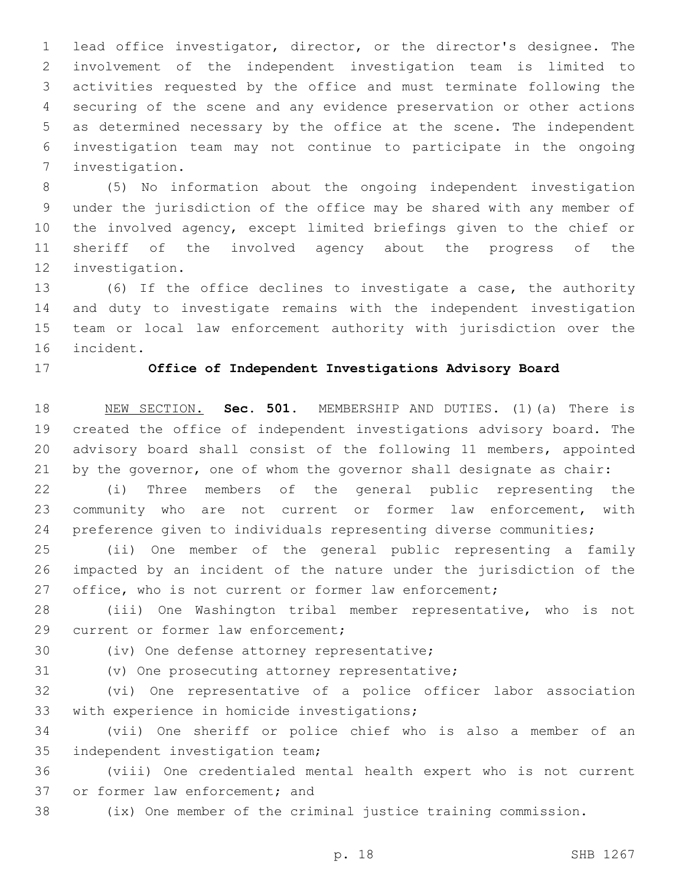lead office investigator, director, or the director's designee. The involvement of the independent investigation team is limited to activities requested by the office and must terminate following the securing of the scene and any evidence preservation or other actions as determined necessary by the office at the scene. The independent investigation team may not continue to participate in the ongoing investigation.7

 (5) No information about the ongoing independent investigation under the jurisdiction of the office may be shared with any member of the involved agency, except limited briefings given to the chief or sheriff of the involved agency about the progress of the 12 investigation.

 (6) If the office declines to investigate a case, the authority and duty to investigate remains with the independent investigation team or local law enforcement authority with jurisdiction over the 16 incident.

### **Office of Independent Investigations Advisory Board**

 NEW SECTION. **Sec. 501.** MEMBERSHIP AND DUTIES. (1)(a) There is created the office of independent investigations advisory board. The advisory board shall consist of the following 11 members, appointed by the governor, one of whom the governor shall designate as chair:

 (i) Three members of the general public representing the community who are not current or former law enforcement, with preference given to individuals representing diverse communities;

 (ii) One member of the general public representing a family impacted by an incident of the nature under the jurisdiction of the 27 office, who is not current or former law enforcement;

 (iii) One Washington tribal member representative, who is not 29 current or former law enforcement;

30 (iv) One defense attorney representative;

31 (v) One prosecuting attorney representative;

 (vi) One representative of a police officer labor association 33 with experience in homicide investigations;

 (vii) One sheriff or police chief who is also a member of an 35 independent investigation team;

 (viii) One credentialed mental health expert who is not current 37 or former law enforcement; and

(ix) One member of the criminal justice training commission.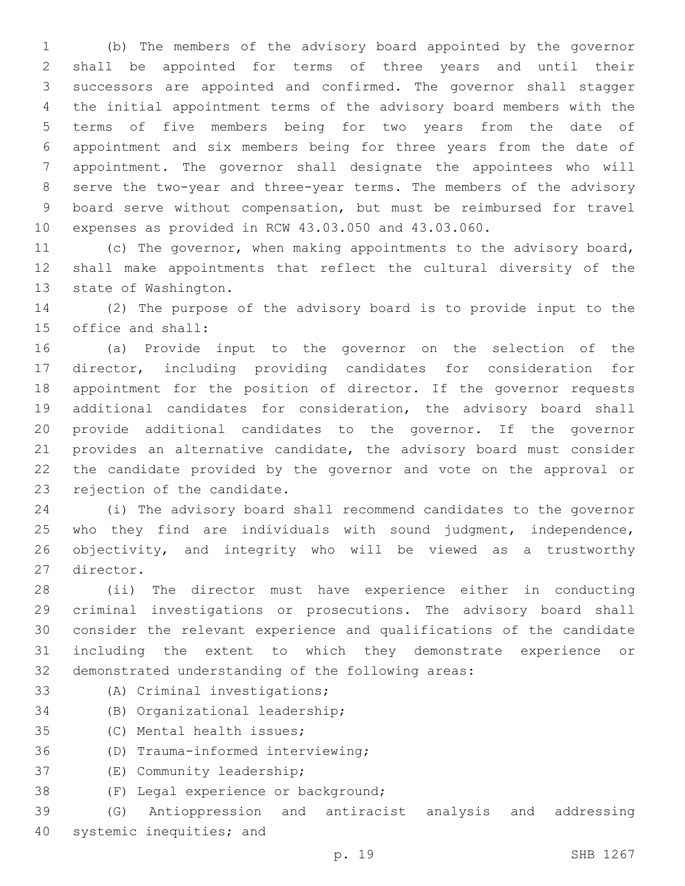(b) The members of the advisory board appointed by the governor shall be appointed for terms of three years and until their successors are appointed and confirmed. The governor shall stagger the initial appointment terms of the advisory board members with the terms of five members being for two years from the date of appointment and six members being for three years from the date of appointment. The governor shall designate the appointees who will serve the two-year and three-year terms. The members of the advisory board serve without compensation, but must be reimbursed for travel expenses as provided in RCW 43.03.050 and 43.03.060.

 (c) The governor, when making appointments to the advisory board, shall make appointments that reflect the cultural diversity of the 13 state of Washington.

 (2) The purpose of the advisory board is to provide input to the 15 office and shall:

 (a) Provide input to the governor on the selection of the director, including providing candidates for consideration for appointment for the position of director. If the governor requests additional candidates for consideration, the advisory board shall provide additional candidates to the governor. If the governor provides an alternative candidate, the advisory board must consider the candidate provided by the governor and vote on the approval or 23 rejection of the candidate.

 (i) The advisory board shall recommend candidates to the governor who they find are individuals with sound judgment, independence, objectivity, and integrity who will be viewed as a trustworthy 27 director.

 (ii) The director must have experience either in conducting criminal investigations or prosecutions. The advisory board shall consider the relevant experience and qualifications of the candidate including the extent to which they demonstrate experience or demonstrated understanding of the following areas:

- 
- 33 (A) Criminal investigations;
- 34 (B) Organizational leadership;
- 35 (C) Mental health issues;
- 36 (D) Trauma-informed interviewing;
- 37 (E) Community leadership;
- 38 (F) Legal experience or background;

 (G) Antioppression and antiracist analysis and addressing 40 systemic inequities; and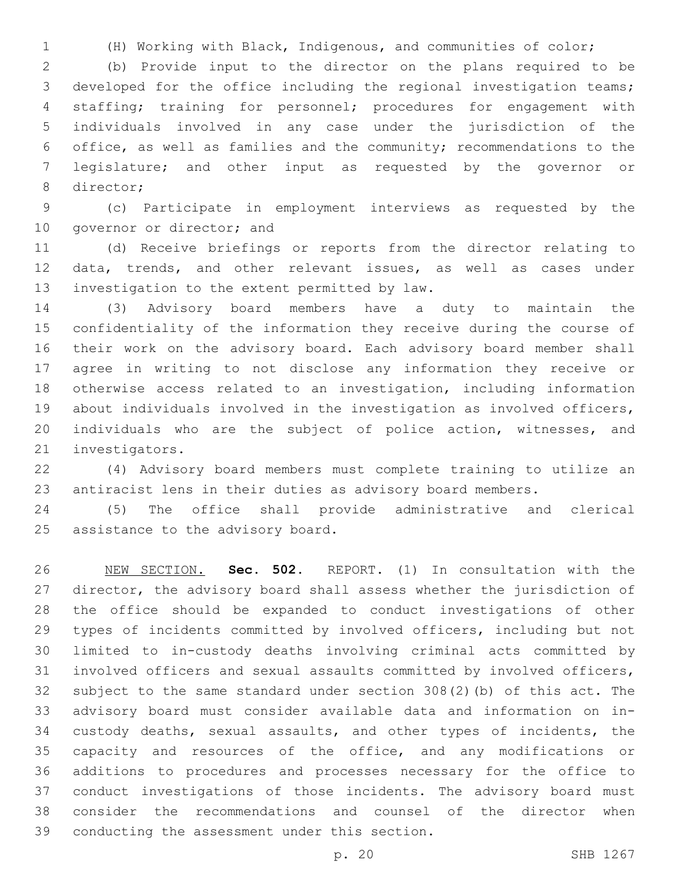(H) Working with Black, Indigenous, and communities of color;

 (b) Provide input to the director on the plans required to be developed for the office including the regional investigation teams; staffing; training for personnel; procedures for engagement with individuals involved in any case under the jurisdiction of the office, as well as families and the community; recommendations to the legislature; and other input as requested by the governor or 8 director;

 (c) Participate in employment interviews as requested by the 10 governor or director; and

 (d) Receive briefings or reports from the director relating to data, trends, and other relevant issues, as well as cases under 13 investigation to the extent permitted by law.

 (3) Advisory board members have a duty to maintain the confidentiality of the information they receive during the course of their work on the advisory board. Each advisory board member shall agree in writing to not disclose any information they receive or otherwise access related to an investigation, including information about individuals involved in the investigation as involved officers, individuals who are the subject of police action, witnesses, and 21 investigators.

 (4) Advisory board members must complete training to utilize an antiracist lens in their duties as advisory board members.

 (5) The office shall provide administrative and clerical 25 assistance to the advisory board.

 NEW SECTION. **Sec. 502.** REPORT. (1) In consultation with the director, the advisory board shall assess whether the jurisdiction of the office should be expanded to conduct investigations of other types of incidents committed by involved officers, including but not limited to in-custody deaths involving criminal acts committed by involved officers and sexual assaults committed by involved officers, subject to the same standard under section 308(2)(b) of this act. The advisory board must consider available data and information on in- custody deaths, sexual assaults, and other types of incidents, the 35 capacity and resources of the office, and any modifications or additions to procedures and processes necessary for the office to conduct investigations of those incidents. The advisory board must consider the recommendations and counsel of the director when conducting the assessment under this section.